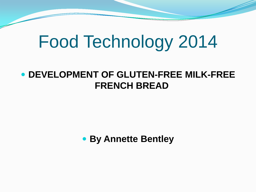## Food Technology 2014

#### **DEVELOPMENT OF GLUTEN-FREE MILK-FREE FRENCH BREAD**

#### **By Annette Bentley**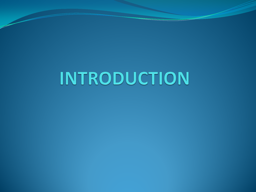## INTRODUCTION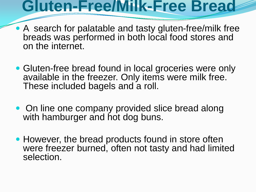#### **Gluten-Free/Milk-Free Bread**

- A search for palatable and tasty gluten-free/milk free breads was performed in both local food stores and on the internet.
- Gluten-free bread found in local groceries were only available in the freezer. Only items were milk free. These included bagels and a roll.
- On line one company provided slice bread along with hamburger and hot dog buns.
- However, the bread products found in store often were freezer burned, often not tasty and had limited selection.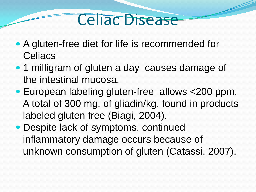#### Celiac Disease

- A gluten-free diet for life is recommended for **Celiacs**
- 1 milligram of gluten a day causes damage of the intestinal mucosa.
- European labeling gluten-free allows <200 ppm. A total of 300 mg. of gliadin/kg. found in products labeled gluten free (Biagi, 2004).
- Despite lack of symptoms, continued inflammatory damage occurs because of unknown consumption of gluten (Catassi, 2007).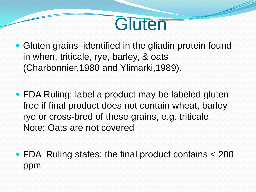

- Gluten grains identified in the gliadin protein found in when, triticale, rye, barley, & oats (Charbonnier,1980 and Ylimarki,1989).
- FDA Ruling: label a product may be labeled gluten free if final product does not contain wheat, barley rye or cross-bred of these grains, e.g. triticale. Note: Oats are not covered
- FDA Ruling states: the final product contains < 200 ppm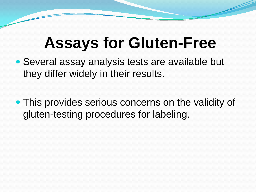## **Assays for Gluten-Free**

- Several assay analysis tests are available but they differ widely in their results.
- This provides serious concerns on the validity of gluten-testing procedures for labeling.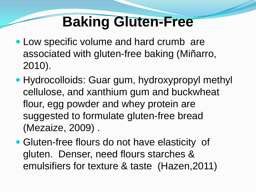#### **Baking Gluten-Free**

- Low specific volume and hard crumb are associated with gluten-free baking (Miñarro, 2010).
- Hydrocolloids: Guar gum, hydroxypropyl methyl cellulose, and xanthium gum and buckwheat flour, egg powder and whey protein are suggested to formulate gluten-free bread (Mezaize, 2009) .
- Gluten-free flours do not have elasticity of gluten. Denser, need flours starches & emulsifiers for texture & taste (Hazen,2011)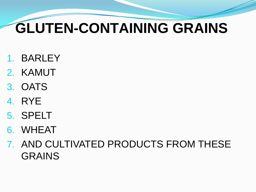## **GLUTEN-CONTAINING GRAINS**

- 1. BARLEY
- 2. KAMUT
- 3. OATS
- 4. RYE
- 5. SPELT
- 6. WHEAT
- 7. AND CULTIVATED PRODUCTS FROM THESE GRAINS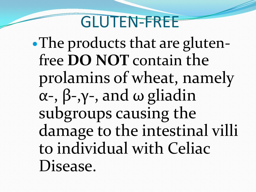#### GLUTEN-FREE

• The products that are glutenfree **DO NOT** contain the prolamins of wheat, namely α-, β-,γ-, and ω gliadin subgroups causing the damage to the intestinal villi to individual with Celiac Disease.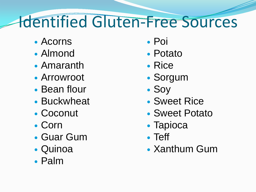## Identified Gluten-Free Sources

- Acorns
- Almond
- Amaranth
- Arrowroot
- Bean flour
- Buckwheat
- Coconut
- Corn
- Guar Gum
- Quinoa
- Palm
- Poi
- Potato
- Rice
- Sorgum
- Soy
- Sweet Rice
- Sweet Potato
- Tapioca
- Teff
- Xanthum Gum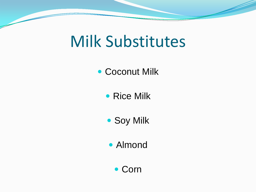## Milk Substitutes

#### • Coconut Milk

• Rice Milk

Soy Milk

Almond

Corn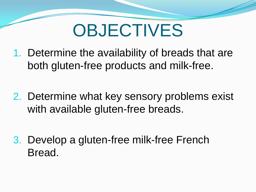## **OBJECTIVES**

- 1. Determine the availability of breads that are both gluten-free products and milk-free.
- 2. Determine what key sensory problems exist with available gluten-free breads.
- 3. Develop a gluten-free milk-free French Bread.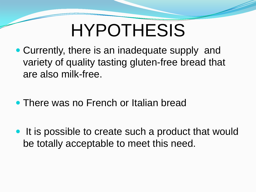## HYPOTHESIS

- Currently, there is an inadequate supply and variety of quality tasting gluten-free bread that are also milk-free.
- There was no French or Italian bread
- It is possible to create such a product that would be totally acceptable to meet this need.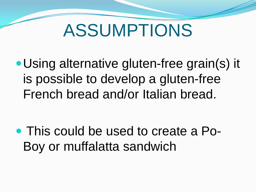## ASSUMPTIONS

Using alternative gluten-free grain(s) it is possible to develop a gluten-free French bread and/or Italian bread.

 This could be used to create a Po-Boy or muffalatta sandwich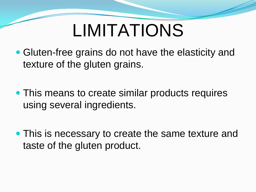## LIMITATIONS

- Gluten-free grains do not have the elasticity and texture of the gluten grains.
- This means to create similar products requires using several ingredients.
- This is necessary to create the same texture and taste of the gluten product.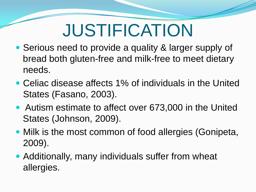## JUSTIFICATION

- Serious need to provide a quality & larger supply of bread both gluten-free and milk-free to meet dietary needs.
- Celiac disease affects 1% of individuals in the United States (Fasano, 2003).
- Autism estimate to affect over 673,000 in the United States (Johnson, 2009).
- Milk is the most common of food allergies (Gonipeta, 2009).
- Additionally, many individuals suffer from wheat allergies.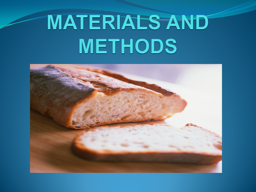# **MATERIALS AND METHODS**

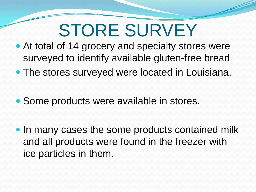## STORE SURVEY

- At total of 14 grocery and specialty stores were surveyed to identify available gluten-free bread
- The stores surveyed were located in Louisiana.
- Some products were available in stores.
- In many cases the some products contained milk and all products were found in the freezer with ice particles in them.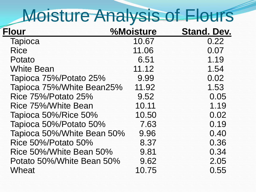## Moisture Analysis of Flours

| <b>Flour</b>               | %Moisture | <b>Stand. Dev.</b> |
|----------------------------|-----------|--------------------|
| <b>Tapioca</b>             | 10.67     | 0.22               |
| <b>Rice</b>                | 11.06     | 0.07               |
| Potato                     | 6.51      | 1.19               |
| <b>White Bean</b>          | 11.12     | 1.54               |
| Tapioca 75%/Potato 25%     | 9.99      | 0.02               |
| Tapioca 75%/White Bean25%  | 11.92     | 1.53               |
| <b>Rice 75%/Potato 25%</b> | 9.52      | 0.05               |
| Rice 75%/White Bean        | 10.11     | 1.19               |
| Tapioca 50%/Rice 50%       | 10.50     | 0.02               |
| Tapioca 50%/Potato 50%     | 7.63      | 0.19               |
| Tapioca 50%/White Bean 50% | 9.96      | 0.40               |
| <b>Rice 50%/Potato 50%</b> | 8.37      | 0.36               |
| Rice 50%/White Bean 50%    | 9.81      | 0.34               |
| Potato 50%/White Bean 50%  | 9.62      | 2.05               |
| Wheat                      | 10.75     | 0.55               |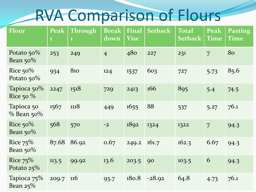## RVA Comparison of Flours

| <b>Flour</b>                 | <b>Peak</b><br>$\mathbf{1}$ | <b>Through</b><br>$\mathbf{1}$ | <b>Break</b><br>down | <b>Final</b><br><b>Visc</b> | <b>Setback</b> | <b>Total</b><br><b>Setback</b> | <b>Peak</b><br><b>Time</b> | <b>Pasting</b><br><b>Time</b> |
|------------------------------|-----------------------------|--------------------------------|----------------------|-----------------------------|----------------|--------------------------------|----------------------------|-------------------------------|
| Potato $50\%$<br>Bean $50\%$ | 253                         | 249                            | $\overline{4}$       | 480                         | 227            | 231                            | $\overline{7}$             | 80                            |
| Rice $50\%$<br>Potato $50\%$ | 934                         | 810                            | 124                  | 1537                        | 603            | 727                            | 5.73                       | 85.6                          |
| Tapioca 50%<br>Rice 50 $%$   | 2247                        | 1518                           | 729                  | 2413                        | 166            | 895                            | 5.4                        | 74.5                          |
| Tapioca 50<br>$\%$ Bean 50%  | 1567                        | 1118                           | 449                  | 1655                        | 88             | 537                            | 5.27                       | 76.1                          |
| Rice $50\%$<br>Bean $50\%$   | 568                         | 570                            | $-2$                 | 1892                        | 1324           | 1322                           | $\overline{7}$             | 94.3                          |
| Rice $75%$<br>Bean $50\%$    | 87.68                       | 86.92                          | 0.67                 | 249.2                       | 161.7          | 162.3                          | 6.67                       | 94.3                          |
| Rice $75%$<br>Potato $25\%$  | 113.5                       | 99.92                          | 13.6                 | 203.5                       | 90             | 103.5                          | 6                          | 94.3                          |
| Tapioca 75%<br>Bean $25\%$   | 209.7                       | $\overline{116}$               | 93.7                 | 180.8                       | $-28.92$       | 64.8                           | 4.73                       | 76.1                          |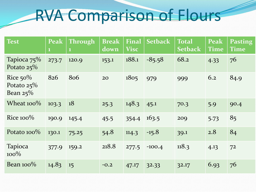## RVA Comparison of Flours

| <b>Test</b>                                | <b>Peak</b><br>$\mathbf{1}$ | <b>Through</b><br>$\mathbf 1$ | <b>Break</b><br>down | <b>Final</b><br><b>Visc</b> | <b>Setback</b> | <b>Total</b><br><b>Setback</b> | <b>Peak</b><br><b>Time</b> | <b>Pasting</b><br><b>Time</b> |
|--------------------------------------------|-----------------------------|-------------------------------|----------------------|-----------------------------|----------------|--------------------------------|----------------------------|-------------------------------|
| Tapioca $75\%$<br>Potato $25\%$            | 273.7                       | 120.9                         | 153.1                | 188.1                       | $-85.58$       | 68.2                           | 4.33                       | 76                            |
| Rice $50\%$<br>Potato $25%$<br>Bean $25\%$ | 826                         | 806                           | 20                   | 1805                        | 979            | 999                            | 6.2                        | 84.9                          |
| Wheat $100\%$                              | 103.3                       | 18                            | 25.3                 | 148.3                       | 45.1           | 70.3                           | 5.9                        | 90.4                          |
| Rice $100\%$                               | 190.9                       | 145.4                         | 45.5                 | 354.4                       | 163.5          | 209                            | 5.73                       | 85                            |
| Potato 100%                                | 130.1                       | 75.25                         | 54.8                 | 114.3                       | $-15.8$        | 39.1                           | 2.8                        | 84                            |
| <b>Tapioca</b><br>$100\%$                  | 377.9                       | 159.2                         | 218.8                | 277.5                       | $-100.4$       | 118.3                          | 4.13                       | 72                            |
| Bean $100\%$                               | 14.83                       | 15                            | $-0.2$               | 47.17                       | 32.33          | 32.17                          | 6.93                       | 76                            |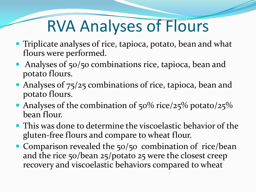## RVA Analyses of Flours

- Triplicate analyses of rice, tapioca, potato, bean and what flours were performed.
- Analyses of 50/50 combinations rice, tapioca, bean and potato flours.
- Analyses of 75/25 combinations of rice, tapioca, bean and potato flours.
- Analyses of the combination of  $50\%$  rice/25% potato/25% bean flour.
- This was done to determine the viscoelastic behavior of the gluten-free flours and compare to wheat flour.
- Comparison revealed the 50/50 combination of rice/bean and the rice 50/bean 25/potato 25 were the closest creep recovery and viscoelastic behaviors compared to wheat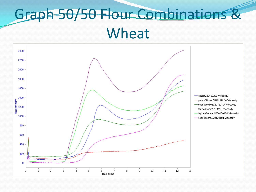#### Graph 50/50 Flour Combinations & Wheat

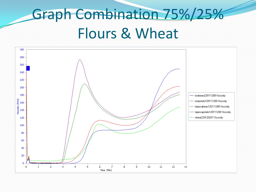## Graph Combination 75%/25% Flours & Wheat

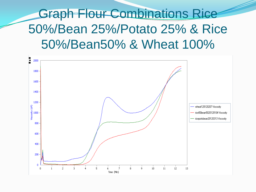Graph Flour Combinations Rice 50%/Bean 25%/Potato 25% & Rice 50%/Bean50% & Wheat 100%

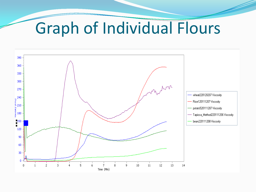## Graph of Individual Flours

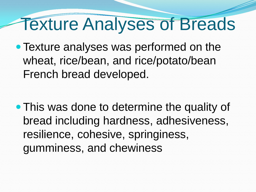## Texture Analyses of Breads

• Texture analyses was performed on the wheat, rice/bean, and rice/potato/bean French bread developed.

• This was done to determine the quality of bread including hardness, adhesiveness, resilience, cohesive, springiness, gumminess, and chewiness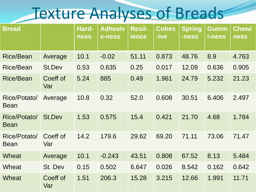#### Texture Analyses of Breads

| <b>Bread</b>                |                 | Hard-<br><b>ness</b> | <b>Adhesiv</b><br>e-ness | <b>Resil-</b><br><b>ience</b> | <b>Cohes</b><br>-ive | <b>Spring</b><br>-ness | Gumm<br><i>i</i> -ness | <b>Chewi</b><br><b>ness</b> |
|-----------------------------|-----------------|----------------------|--------------------------|-------------------------------|----------------------|------------------------|------------------------|-----------------------------|
| <b>Rice/Bean</b>            | Average         | 10.1                 | $-0.02$                  | 51.11                         | 0.873                | 48.76                  | 8.9                    | 4.763                       |
| <b>Rice/Bean</b>            | St.Dev          | 0.53                 | 0.635                    | 0.25                          | 0.017                | 12.09                  | 0.636                  | 0.905                       |
| <b>Rice/Bean</b>            | Coeff of<br>Var | 5.24                 | 885                      | 0.49                          | 1.961                | 24.79                  | 5.232                  | 21.23                       |
| Rice/Potato/<br><b>Bean</b> | Average         | 10.8                 | 0.32                     | 52.0                          | 0.608                | 30.51                  | 6.406                  | 2.497                       |
| Rice/Potato/<br><b>Bean</b> | <b>St.Dev</b>   | 1.53                 | 0.575                    | 15.4                          | 0.421                | 21.70                  | 4.68                   | 1.784                       |
| Rice/Potato/<br><b>Bean</b> | Coeff of<br>Var | 14.2                 | 179.6                    | 29.62                         | 69.20                | 71.11                  | 73.06                  | 71.47                       |
| <b>Wheat</b>                | Average         | 10.1                 | $-0.243$                 | 43.51                         | 0.808                | 67.52                  | 8.13                   | 5.484                       |
| Wheat                       | St. Dev         | 0.15                 | 0.502                    | 6.647                         | 0.026                | 8.542                  | 0.162                  | 0.642                       |
| <b>Wheat</b>                | Coeff of<br>Var | 1.51                 | 206.3                    | 15.28                         | 3.215                | 12.66                  | 1.991                  | 11.71                       |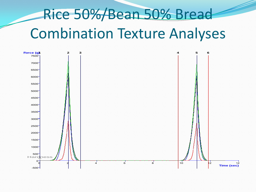## Rice 50%/Bean 50% Bread Combination Texture Analyses

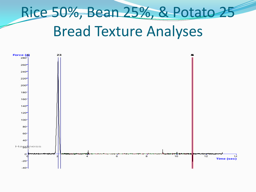## Rice 50%, Bean 25%, & Potato 25 Bread Texture Analyses

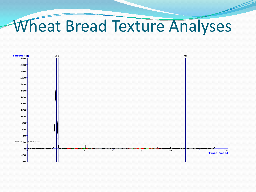#### Wheat Bread Texture Analyses

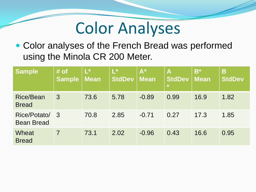#### Color Analyses

 Color analyses of the French Bread was performed using the Minola CR 200 Meter.

| <b>Sample</b>                     | # of<br><b>Sample</b> | $L^*$<br><b>Mean</b> | $L^*$<br><b>StdDev</b> | $\overline{A^*}$<br><b>Mean</b> | A<br><b>StdDev</b><br>$\star$ | $B^*$<br><b>Mean</b> | Β<br><b>StdDev</b> |
|-----------------------------------|-----------------------|----------------------|------------------------|---------------------------------|-------------------------------|----------------------|--------------------|
| <b>Rice/Bean</b><br><b>Bread</b>  | $\overline{3}$        | 73.6                 | 5.78                   | $-0.89$                         | 0.99                          | 16.9                 | 1.82               |
| Rice/Potato/<br><b>Bean Bread</b> | - 3                   | 70.8                 | 2.85                   | $-0.71$                         | 0.27                          | 17.3                 | 1.85               |
| Wheat<br><b>Bread</b>             |                       | 73.1                 | 2.02                   | $-0.96$                         | 0.43                          | 16.6                 | 0.95               |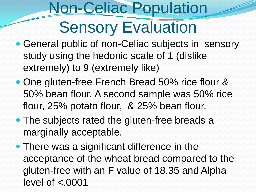### Non-Celiac Population **Sensory Evaluation**

- General public of non-Celiac subjects in sensory study using the hedonic scale of 1 (dislike extremely) to 9 (extremely like)
- One gluten-free French Bread 50% rice flour & 50% bean flour. A second sample was 50% rice flour, 25% potato flour, & 25% bean flour.
- The subjects rated the gluten-free breads a marginally acceptable.
- There was a significant difference in the acceptance of the wheat bread compared to the gluten-free with an F value of 18.35 and Alpha level of  $< 0001$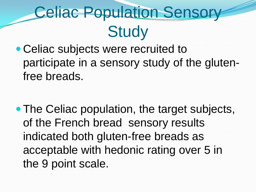## Celiac Population Sensory **Study**

• Celiac subjects were recruited to participate in a sensory study of the glutenfree breads.

• The Celiac population, the target subjects, of the French bread sensory results indicated both gluten-free breads as acceptable with hedonic rating over 5 in the 9 point scale.